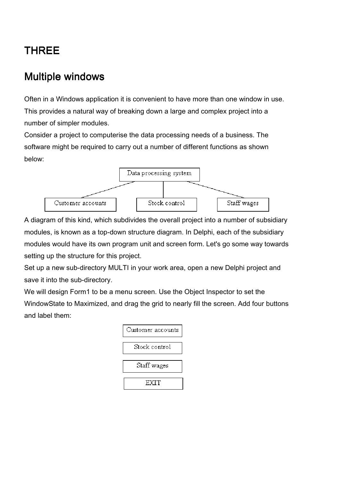# THREE

### **Multiple windows**

Often in a Windows application it is convenient to have more than one window in use. This provides a natural way of breaking down a large and complex project into a number of simpler modules.

Consider a project to computerise the data processing needs of a business. The software might be required to carry out a number of different functions as shown below:



A diagram of this kind, which subdivides the overall project into a number of subsidiary modules, is known as a top-down structure diagram. In Delphi, each of the subsidiary modules would have its own program unit and screen form. Let's go some way towards setting up the structure for this project.

Set up a new sub-directory MULTI in your work area, open a new Delphi project and save it into the sub-directory.

We will design Form1 to be a menu screen. Use the Object Inspector to set the WindowState to Maximized, and drag the grid to nearly fill the screen. Add four buttons and label them:

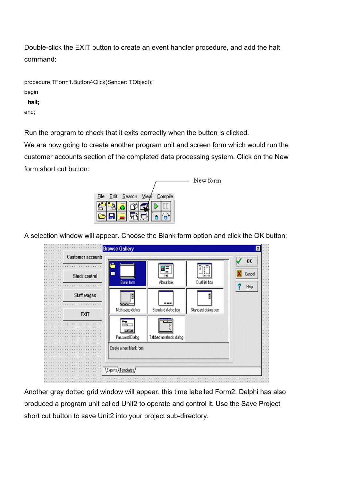Double-click the EXIT button to create an event handler procedure, and add the halt command:

| procedure TForm1.Button4Click(Sender: TObject); |
|-------------------------------------------------|
| begin                                           |
| halt:                                           |
| end:                                            |

Run the program to check that it exits correctly when the button is clicked.

We are now going to create another program unit and screen form which would run the customer accounts section of the completed data processing system. Click on the New form short cut button:

|                                                  | New form |
|--------------------------------------------------|----------|
|                                                  |          |
| – <u>S</u> earch ⊻iew<br>Compile<br>Edit<br>Eile |          |
|                                                  |          |
|                                                  |          |

A selection window will appear. Choose the Blank form option and click the OK button:

| <b>Section</b> | <b>Customer accounts</b> | <b>Browse Gallery</b>                            |                             |                                                      | 0K     |
|----------------|--------------------------|--------------------------------------------------|-----------------------------|------------------------------------------------------|--------|
|                | <b>Stock control</b>     | <b>Blank form</b>                                | M.<br>=<br>D'E<br>About box | ロロロ<br>Dual list box                                 | Cancel |
|                | Staff wages              | Đ<br>ರಾಜ                                         | <b>000</b>                  | Ē                                                    | Help   |
|                | <b>EXIT</b>              | Multi-page dialog<br>$^{\circ}$<br><b>Seo</b> Y  | Standard dialog box<br>Ë    | Standard dialog box                                  |        |
|                |                          | v.<br>Password Dialog<br>Create a new blank form | Tabbed notebook dialog      |                                                      |        |
|                |                          |                                                  |                             |                                                      |        |
|                |                          | Experts Templates                                |                             | 医肠膜炎 网络多尔马特罗尔马特罗尔马特罗尔特特罗尔马特罗尔 计算机 网络拉丁特拉丁特拉丁特拉丁特拉丁特拉 |        |

Another grey dotted grid window will appear, this time labelled Form2. Delphi has also produced a program unit called Unit2 to operate and control it. Use the Save Project short cut button to save Unit2 into your project sub-directory.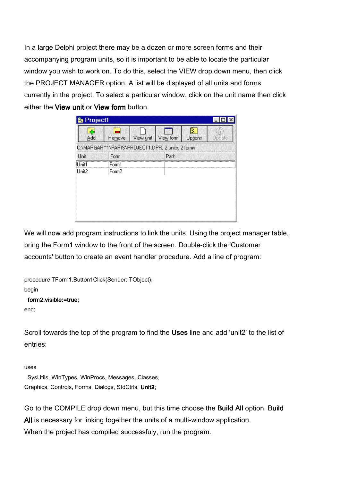In a large Delphi project there may be a dozen or more screen forms and their accompanying program units, so it is important to be able to locate the particular window you wish to work on. To do this, select the VIEW drop down menu, then click the PROJECT MANAGER option. A list will be displayed of all units and forms currently in the project. To select a particular window, click on the unit name then click either the View unit or View form button.

| Project1                                         |                   |           |           |              |        |
|--------------------------------------------------|-------------------|-----------|-----------|--------------|--------|
| G<br>Add                                         | Remove            | View unit | View form | ×<br>Options | Update |
| C:\MARGAR^1\PARIS\PROJECT1.DPR, 2 units, 2 forms |                   |           |           |              |        |
| Unit                                             | Form              |           | Path      |              |        |
| Unit1                                            | Form1             |           |           |              |        |
| Unit2                                            | Form <sub>2</sub> |           |           |              |        |
|                                                  |                   |           |           |              |        |
|                                                  |                   |           |           |              |        |
|                                                  |                   |           |           |              |        |
|                                                  |                   |           |           |              |        |
|                                                  |                   |           |           |              |        |

We will now add program instructions to link the units. Using the project manager table, bring the Form1 window to the front of the screen. Double-click the 'Customer accounts' button to create an event handler procedure. Add a line of program:

procedure TForm1.Button1Click(Sender: TObject);

begin

### form2.visible:=true:

end;

Scroll towards the top of the program to find the Uses line and add 'unit2' to the list of entries:

uses

 SysUtils, WinTypes, WinProcs, Messages, Classes, Graphics, Controls, Forms, Dialogs, StdCtrls, Unit2;

Go to the COMPILE drop down menu, but this time choose the **Build All** option. Build All is necessary for linking together the units of a multi-window application. When the project has compiled successfuly, run the program.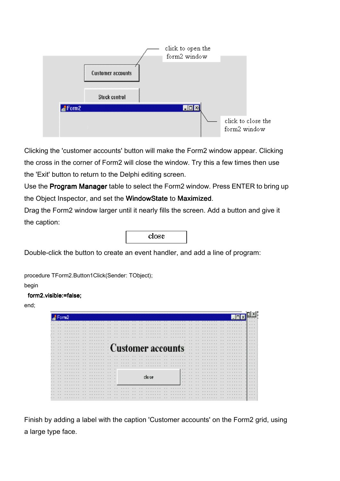

Clicking the 'customer accounts' button will make the Form2 window appear. Clicking the cross in the corner of Form2 will close the window. Try this a few times then use the 'Exit' button to return to the Delphi editing screen.

Use the Program Manager table to select the Form2 window. Press ENTER to bring up the Object Inspector, and set the WindowState to Maximized.

Drag the Form2 window larger until it nearly fills the screen. Add a button and give it the caption:

| close |  |
|-------|--|
|       |  |

Double-click the button to create an event handler, and add a line of program:

procedure TForm2.Button1Click(Sender: TObject);

begin

#### form2.visible:=false;

end;



Finish by adding a label with the caption 'Customer accounts' on the Form2 grid, using a large type face.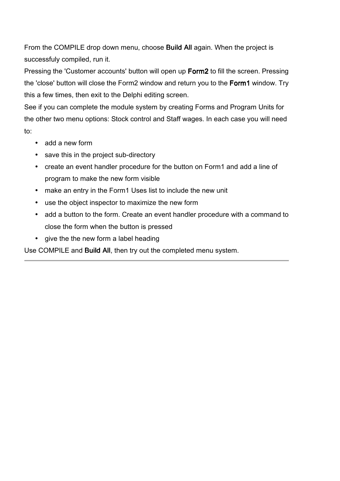From the COMPILE drop down menu, choose **Build All** again. When the project is successfuly compiled, run it.

Pressing the 'Customer accounts' button will open up Form2 to fill the screen. Pressing the 'close' button will close the Form2 window and return you to the Form1 window. Try this a few times, then exit to the Delphi editing screen.

See if you can complete the module system by creating Forms and Program Units for the other two menu options: Stock control and Staff wages. In each case you will need to:

- add a new form
- save this in the project sub-directory
- create an event handler procedure for the button on Form1 and add a line of program to make the new form visible
- make an entry in the Form1 Uses list to include the new unit
- use the object inspector to maximize the new form
- add a button to the form. Create an event handler procedure with a command to close the form when the button is pressed
- give the the new form a label heading

Use COMPILE and Build All, then try out the completed menu system.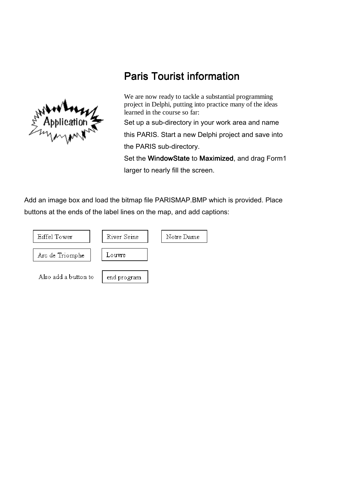

## **Paris Tourist information**

We are now ready to tackle a substantial programming project in Delphi, putting into practice many of the ideas learned in the course so far: Set up a sub-directory in your work area and name this PARIS. Start a new Delphi project and save into

the PARIS sub-directory.

Set the WindowState to Maximized, and drag Form1 larger to nearly fill the screen.

Add an image box and load the bitmap file PARISMAP.BMP which is provided. Place buttons at the ends of the label lines on the map, and add captions:

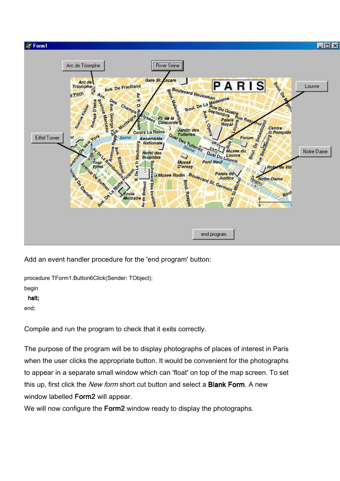

Add an event handler procedure for the 'end program' button:

procedure TForm1.Button6Click(Sender: TObject);

begin

halt; halt;

end;

Compile and run the program to check that it exits correctly.

The purpose of the program will be to display photographs of places of interest in Paris when the user clicks the appropriate button. It would be convenient for the photographs to appear in a separate small window which can 'float' on top of the map screen. To set this up, first click the New form short cut button and select a **Blank Form**. A new window labelled Form2 will appear.

We will now configure the **Form2** window ready to display the photographs.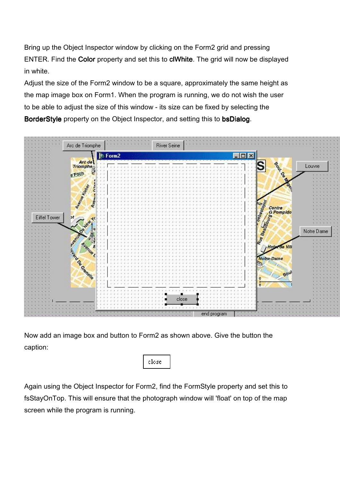Bring up the Object Inspector window by clicking on the Form2 grid and pressing ENTER. Find the Color property and set this to clWhite. The grid will now be displayed in white.

Adjust the size of the Form2 window to be a square, approximately the same height as the map image box on Form1. When the program is running, we do not wish the user to be able to adjust the size of this window - its size can be fixed by selecting the BorderStyle property on the Object Inspector, and setting this to bsDialog.



Now add an image box and button to Form2 as shown above. Give the button the caption:



Again using the Object Inspector for Form2, find the FormStyle property and set this to fsStayOnTop. This will ensure that the photograph window will 'float' on top of the map screen while the program is running.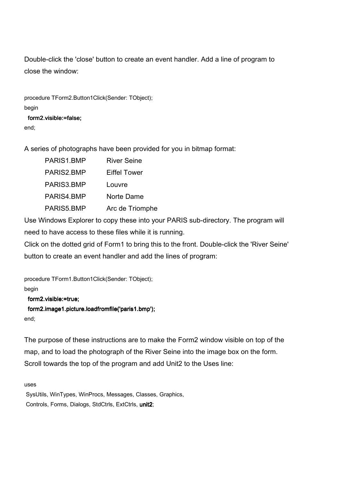Double-click the 'close' button to create an event handler. Add a line of program to close the window:

procedure TForm2.Button1Click(Sender: TObject); begin form2.visible:=false: end;

A series of photographs have been provided for you in bitmap format:

| PARIS1.BMP | <b>River Seine</b> |
|------------|--------------------|
| PARIS2.BMP | Eiffel Tower       |
| PARIS3.BMP | Louvre             |
| PARIS4.BMP | Norte Dame         |
| PARIS5.BMP | Arc de Triomphe    |
|            |                    |

Use Windows Explorer to copy these into your PARIS sub-directory. The program will need to have access to these files while it is running.

Click on the dotted grid of Form1 to bring this to the front. Double-click the 'River Seine' button to create an event handler and add the lines of program:

procedure TForm1.Button1Click(Sender: TObject); begin form2.visible:=true; form2.image1.picture.loadfromfile('paris1.bmp');

end;

The purpose of these instructions are to make the Form2 window visible on top of the map, and to load the photograph of the River Seine into the image box on the form. Scroll towards the top of the program and add Unit2 to the Uses line:

uses

 SysUtils, WinTypes, WinProcs, Messages, Classes, Graphics, Controls, Forms, Dialogs, StdCtrls, ExtCtrls, unit2;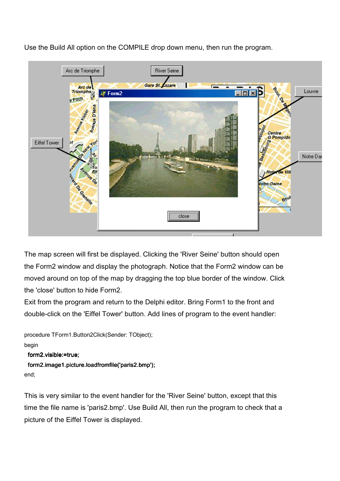Use the Build All option on the COMPILE drop down menu, then run the program.



The map screen will first be displayed. Clicking the 'River Seine' button should open the Form2 window and display the photograph. Notice that the Form2 window can be moved around on top of the map by dragging the top blue border of the window. Click the 'close' button to hide Form2.

Exit from the program and return to the Delphi editor. Bring Form1 to the front and double-click on the 'Eiffel Tower' button. Add lines of program to the event handler:

```
procedure TForm1.Button2Click(Sender: TObject); 
begin 
  form2.visible:=true; 
 form2.image1.picture.loadfromfile('paris2.bmp');
```

```
end;
```
This is very similar to the event handler for the 'River Seine' button, except that this time the file name is 'paris2.bmp'. Use Build All, then run the program to check that a picture of the Eiffel Tower is displayed.